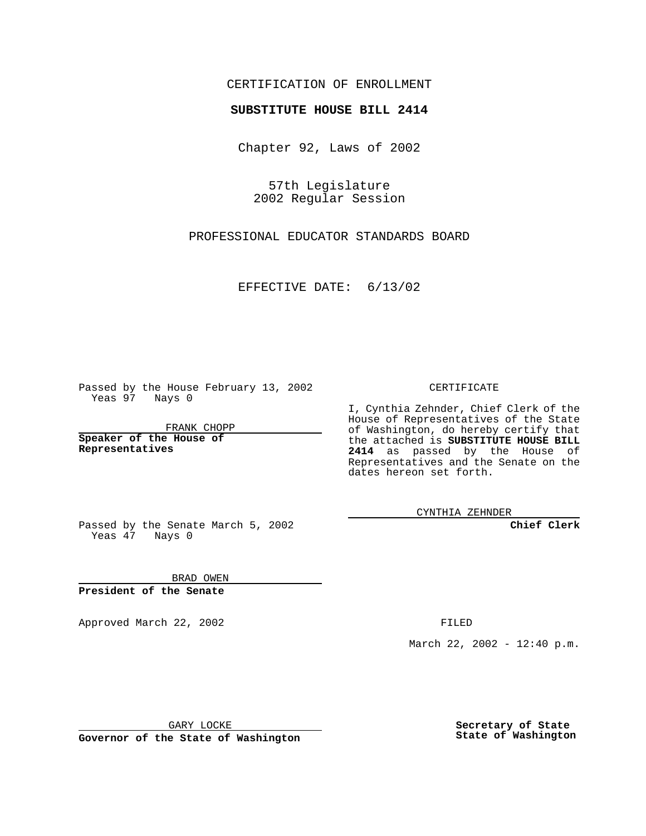## CERTIFICATION OF ENROLLMENT

## **SUBSTITUTE HOUSE BILL 2414**

Chapter 92, Laws of 2002

57th Legislature 2002 Regular Session

PROFESSIONAL EDUCATOR STANDARDS BOARD

EFFECTIVE DATE: 6/13/02

Passed by the House February 13, 2002 Yeas 97 Nays 0

FRANK CHOPP

**Speaker of the House of Representatives**

CERTIFICATE

I, Cynthia Zehnder, Chief Clerk of the House of Representatives of the State of Washington, do hereby certify that the attached is **SUBSTITUTE HOUSE BILL 2414** as passed by the House of Representatives and the Senate on the dates hereon set forth.

CYNTHIA ZEHNDER

**Chief Clerk**

Passed by the Senate March 5, 2002 Yeas  $47$  Nays 0

BRAD OWEN **President of the Senate**

Approved March 22, 2002 **FILED** 

March 22, 2002 - 12:40 p.m.

GARY LOCKE

**Governor of the State of Washington**

**Secretary of State State of Washington**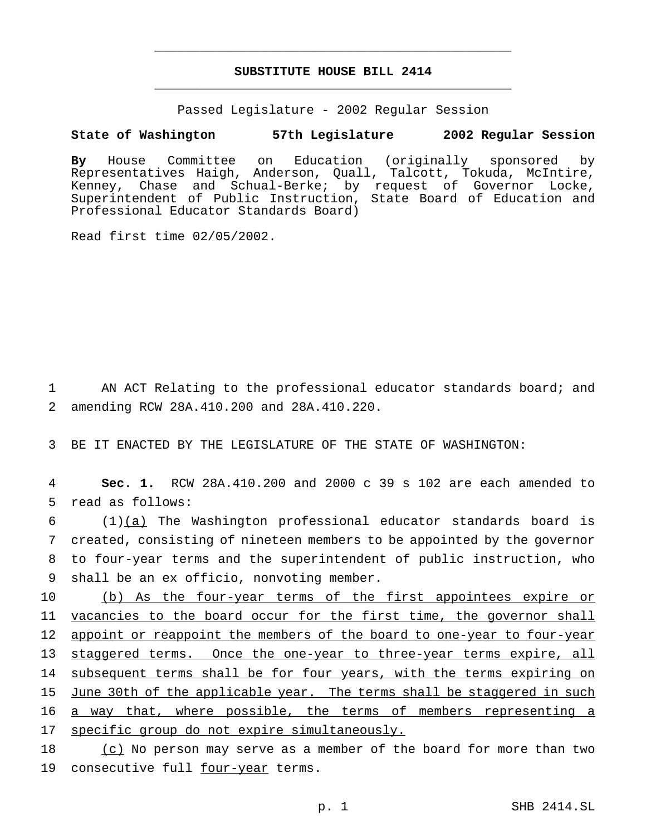## **SUBSTITUTE HOUSE BILL 2414** \_\_\_\_\_\_\_\_\_\_\_\_\_\_\_\_\_\_\_\_\_\_\_\_\_\_\_\_\_\_\_\_\_\_\_\_\_\_\_\_\_\_\_\_\_\_\_

\_\_\_\_\_\_\_\_\_\_\_\_\_\_\_\_\_\_\_\_\_\_\_\_\_\_\_\_\_\_\_\_\_\_\_\_\_\_\_\_\_\_\_\_\_\_\_

Passed Legislature - 2002 Regular Session

## **State of Washington 57th Legislature 2002 Regular Session**

**By** House Committee on Education (originally sponsored by Representatives Haigh, Anderson, Quall, Talcott, Tokuda, McIntire, Kenney, Chase and Schual-Berke; by request of Governor Locke, Superintendent of Public Instruction, State Board of Education and Professional Educator Standards Board)

Read first time 02/05/2002.

1 AN ACT Relating to the professional educator standards board; and 2 amending RCW 28A.410.200 and 28A.410.220.

3 BE IT ENACTED BY THE LEGISLATURE OF THE STATE OF WASHINGTON:

4 **Sec. 1.** RCW 28A.410.200 and 2000 c 39 s 102 are each amended to 5 read as follows:

 (1)(a) The Washington professional educator standards board is created, consisting of nineteen members to be appointed by the governor to four-year terms and the superintendent of public instruction, who shall be an ex officio, nonvoting member.

10 (b) As the four-year terms of the first appointees expire or 11 vacancies to the board occur for the first time, the governor shall 12 appoint or reappoint the members of the board to one-year to four-year 13 staggered terms. Once the one-year to three-year terms expire, all 14 subsequent terms shall be for four years, with the terms expiring on 15 June 30th of the applicable year. The terms shall be staggered in such 16 a way that, where possible, the terms of members representing a 17 specific group do not expire simultaneously.

18 (c) No person may serve as a member of the board for more than two 19 consecutive full four-year terms.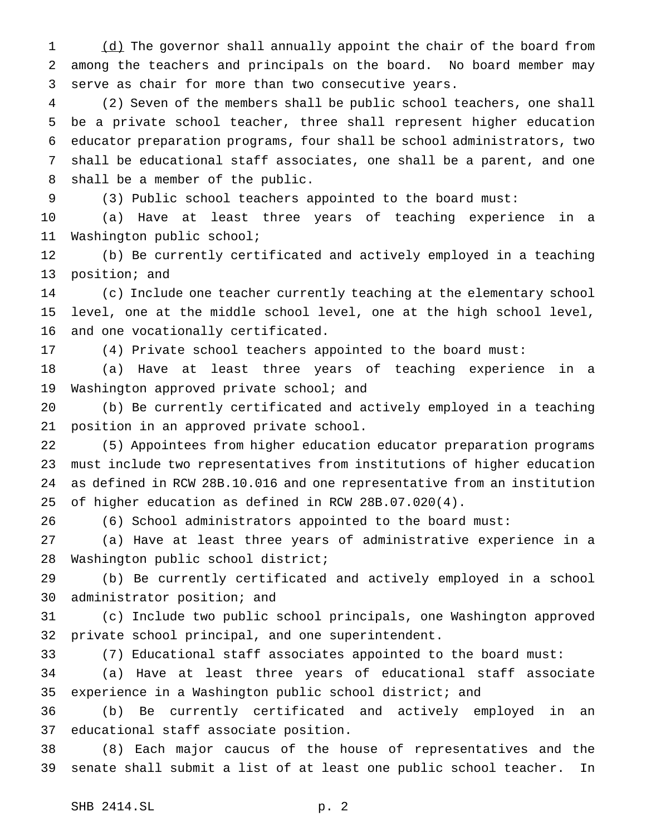1 (d) The governor shall annually appoint the chair of the board from among the teachers and principals on the board. No board member may serve as chair for more than two consecutive years.

 (2) Seven of the members shall be public school teachers, one shall be a private school teacher, three shall represent higher education educator preparation programs, four shall be school administrators, two shall be educational staff associates, one shall be a parent, and one shall be a member of the public.

(3) Public school teachers appointed to the board must:

 (a) Have at least three years of teaching experience in a Washington public school;

 (b) Be currently certificated and actively employed in a teaching position; and

 (c) Include one teacher currently teaching at the elementary school level, one at the middle school level, one at the high school level, and one vocationally certificated.

(4) Private school teachers appointed to the board must:

 (a) Have at least three years of teaching experience in a Washington approved private school; and

 (b) Be currently certificated and actively employed in a teaching position in an approved private school.

 (5) Appointees from higher education educator preparation programs must include two representatives from institutions of higher education as defined in RCW 28B.10.016 and one representative from an institution of higher education as defined in RCW 28B.07.020(4).

(6) School administrators appointed to the board must:

 (a) Have at least three years of administrative experience in a Washington public school district;

 (b) Be currently certificated and actively employed in a school administrator position; and

 (c) Include two public school principals, one Washington approved private school principal, and one superintendent.

(7) Educational staff associates appointed to the board must:

 (a) Have at least three years of educational staff associate experience in a Washington public school district; and

 (b) Be currently certificated and actively employed in an educational staff associate position.

 (8) Each major caucus of the house of representatives and the senate shall submit a list of at least one public school teacher. In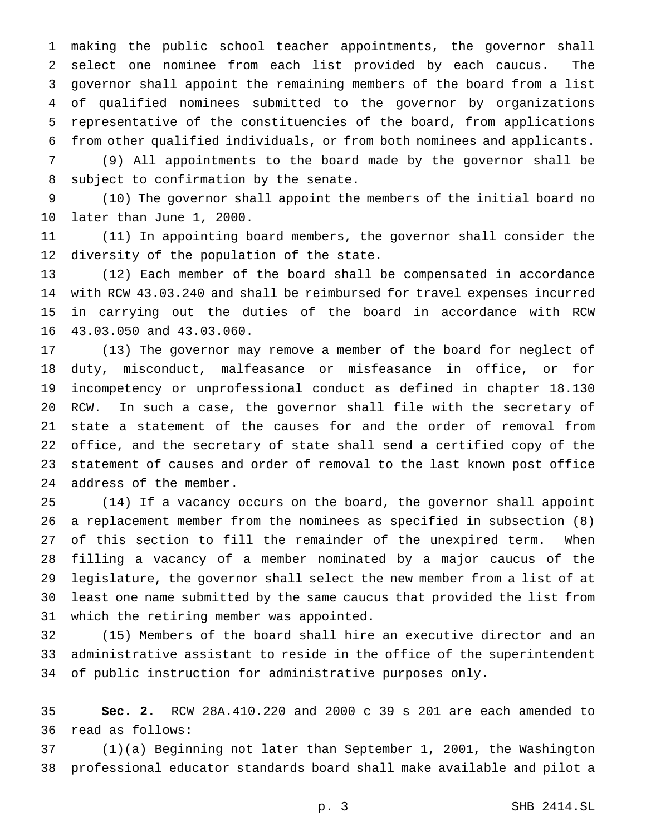making the public school teacher appointments, the governor shall select one nominee from each list provided by each caucus. The governor shall appoint the remaining members of the board from a list of qualified nominees submitted to the governor by organizations representative of the constituencies of the board, from applications from other qualified individuals, or from both nominees and applicants.

 (9) All appointments to the board made by the governor shall be subject to confirmation by the senate.

 (10) The governor shall appoint the members of the initial board no later than June 1, 2000.

 (11) In appointing board members, the governor shall consider the diversity of the population of the state.

 (12) Each member of the board shall be compensated in accordance with RCW 43.03.240 and shall be reimbursed for travel expenses incurred in carrying out the duties of the board in accordance with RCW 43.03.050 and 43.03.060.

 (13) The governor may remove a member of the board for neglect of duty, misconduct, malfeasance or misfeasance in office, or for incompetency or unprofessional conduct as defined in chapter 18.130 RCW. In such a case, the governor shall file with the secretary of state a statement of the causes for and the order of removal from office, and the secretary of state shall send a certified copy of the statement of causes and order of removal to the last known post office address of the member.

 (14) If a vacancy occurs on the board, the governor shall appoint a replacement member from the nominees as specified in subsection (8) of this section to fill the remainder of the unexpired term. When filling a vacancy of a member nominated by a major caucus of the legislature, the governor shall select the new member from a list of at least one name submitted by the same caucus that provided the list from which the retiring member was appointed.

 (15) Members of the board shall hire an executive director and an administrative assistant to reside in the office of the superintendent of public instruction for administrative purposes only.

 **Sec. 2.** RCW 28A.410.220 and 2000 c 39 s 201 are each amended to read as follows:

 (1)(a) Beginning not later than September 1, 2001, the Washington professional educator standards board shall make available and pilot a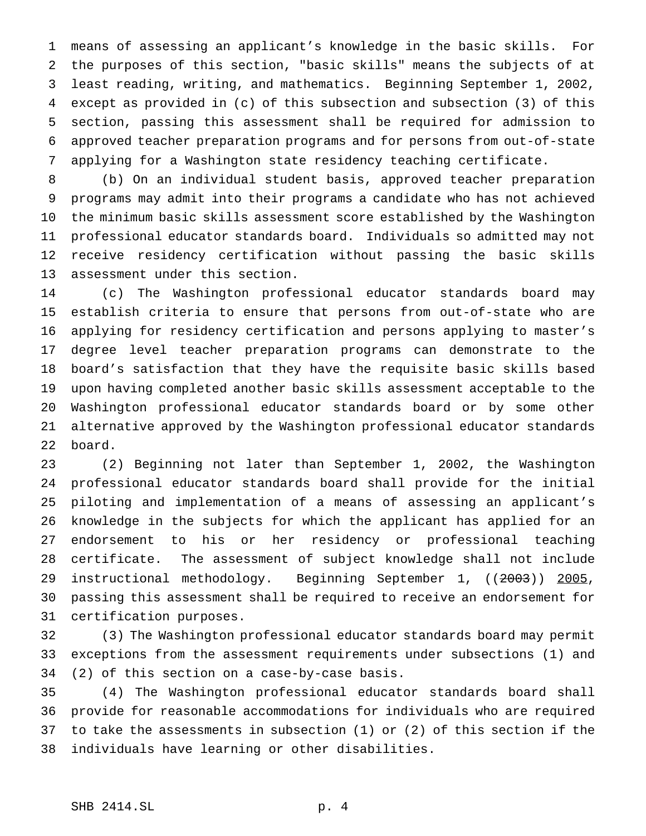means of assessing an applicant's knowledge in the basic skills. For the purposes of this section, "basic skills" means the subjects of at least reading, writing, and mathematics. Beginning September 1, 2002, except as provided in (c) of this subsection and subsection (3) of this section, passing this assessment shall be required for admission to approved teacher preparation programs and for persons from out-of-state applying for a Washington state residency teaching certificate.

 (b) On an individual student basis, approved teacher preparation programs may admit into their programs a candidate who has not achieved the minimum basic skills assessment score established by the Washington professional educator standards board. Individuals so admitted may not receive residency certification without passing the basic skills assessment under this section.

 (c) The Washington professional educator standards board may establish criteria to ensure that persons from out-of-state who are applying for residency certification and persons applying to master's degree level teacher preparation programs can demonstrate to the board's satisfaction that they have the requisite basic skills based upon having completed another basic skills assessment acceptable to the Washington professional educator standards board or by some other alternative approved by the Washington professional educator standards board.

 (2) Beginning not later than September 1, 2002, the Washington professional educator standards board shall provide for the initial piloting and implementation of a means of assessing an applicant's knowledge in the subjects for which the applicant has applied for an endorsement to his or her residency or professional teaching certificate. The assessment of subject knowledge shall not include 29 instructional methodology. Beginning September 1, ((2003)) 2005, passing this assessment shall be required to receive an endorsement for certification purposes.

 (3) The Washington professional educator standards board may permit exceptions from the assessment requirements under subsections (1) and (2) of this section on a case-by-case basis.

 (4) The Washington professional educator standards board shall provide for reasonable accommodations for individuals who are required to take the assessments in subsection (1) or (2) of this section if the individuals have learning or other disabilities.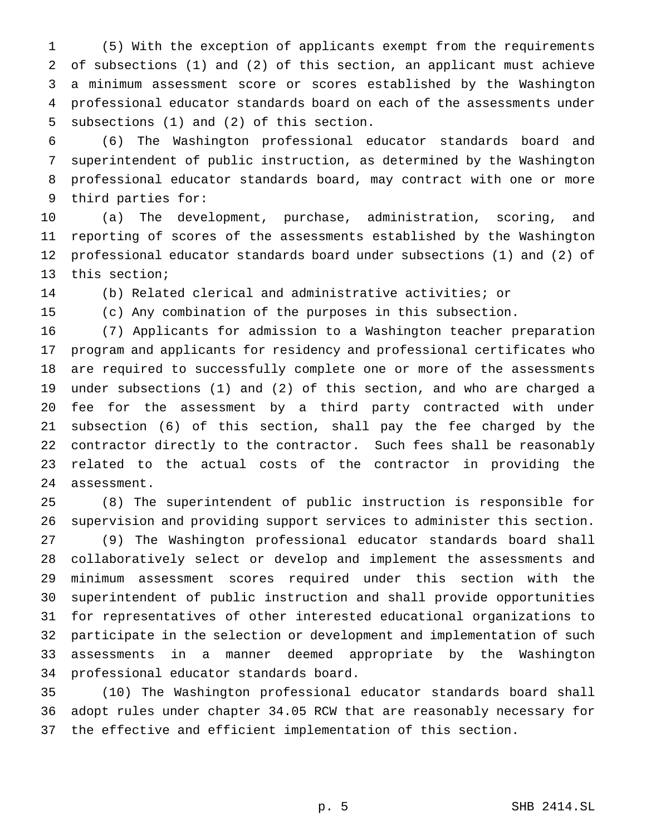(5) With the exception of applicants exempt from the requirements of subsections (1) and (2) of this section, an applicant must achieve a minimum assessment score or scores established by the Washington professional educator standards board on each of the assessments under subsections (1) and (2) of this section.

 (6) The Washington professional educator standards board and superintendent of public instruction, as determined by the Washington professional educator standards board, may contract with one or more third parties for:

 (a) The development, purchase, administration, scoring, and reporting of scores of the assessments established by the Washington professional educator standards board under subsections (1) and (2) of this section;

(b) Related clerical and administrative activities; or

(c) Any combination of the purposes in this subsection.

 (7) Applicants for admission to a Washington teacher preparation program and applicants for residency and professional certificates who are required to successfully complete one or more of the assessments under subsections (1) and (2) of this section, and who are charged a fee for the assessment by a third party contracted with under subsection (6) of this section, shall pay the fee charged by the contractor directly to the contractor. Such fees shall be reasonably related to the actual costs of the contractor in providing the assessment.

 (8) The superintendent of public instruction is responsible for supervision and providing support services to administer this section. (9) The Washington professional educator standards board shall collaboratively select or develop and implement the assessments and minimum assessment scores required under this section with the superintendent of public instruction and shall provide opportunities for representatives of other interested educational organizations to participate in the selection or development and implementation of such assessments in a manner deemed appropriate by the Washington professional educator standards board.

 (10) The Washington professional educator standards board shall adopt rules under chapter 34.05 RCW that are reasonably necessary for the effective and efficient implementation of this section.